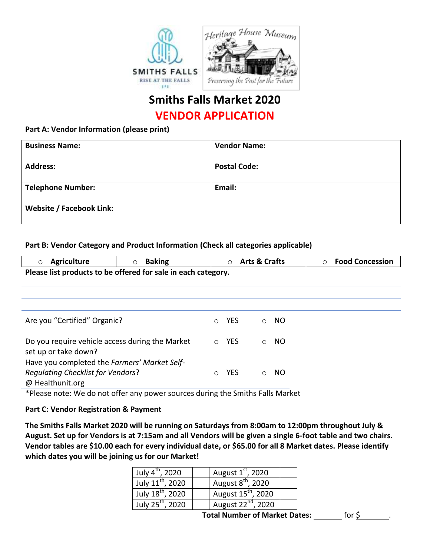

## **Smiths Falls Market 2020 VENDOR APPLICATION**

## **Part A: Vendor Information (please print)**

| <b>Business Name:</b>           | <b>Vendor Name:</b> |
|---------------------------------|---------------------|
| <b>Address:</b>                 | <b>Postal Code:</b> |
| <b>Telephone Number:</b>        | Email:              |
| <b>Website / Facebook Link:</b> |                     |

## **Part B: Vendor Category and Product Information (Check all categories applicable)**

| ○ Agriculture                                                 | $\circ$ Baking | ○ Arts & Crafts | ○ Food Concession |
|---------------------------------------------------------------|----------------|-----------------|-------------------|
| Please list products to be offered for sale in each category. |                |                 |                   |

| Are you "Certified" Organic?                                                             | YFS.       | ∩ | NO. |
|------------------------------------------------------------------------------------------|------------|---|-----|
| Do you require vehicle access during the Market<br>set up or take down?                  | <b>YFS</b> |   | NO. |
| Have you completed the Farmers' Market Self-<br><b>Requlating Checklist for Vendors?</b> | YFS        |   |     |

@ Healthunit.org

\*Please note: We do not offer any power sources during the Smiths Falls Market

## **Part C: Vendor Registration & Payment**

**The Smiths Falls Market 2020 will be running on Saturdays from 8:00am to 12:00pm throughout July & August. Set up for Vendors is at 7:15am and all Vendors will be given a single 6-foot table and two chairs. Vendor tables are \$10.00 each for every individual date, or \$65.00 for all 8 Market dates. Please identify which dates you will be joining us for our Market!**

| July 4 <sup>th</sup> , 2020  | August $1st$ , 2020            |  |
|------------------------------|--------------------------------|--|
| July $11^{\text{th}}$ , 2020 | August 8 <sup>th</sup> , 2020  |  |
| July 18 <sup>th</sup> , 2020 | August 15 <sup>th</sup> , 2020 |  |
| July 25 <sup>th</sup> , 2020 | August 22 <sup>nd</sup> , 2020 |  |

**Total Number of Market Dates:** \_\_\_\_\_\_\_ for \$